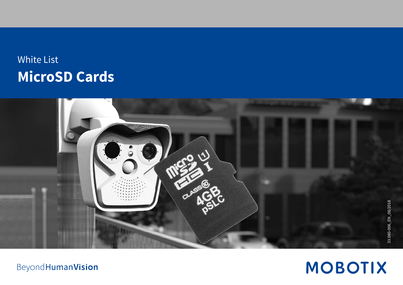# White List **MicroSD Cards**



**MOBOTIX** 

**Beyond Human Vision**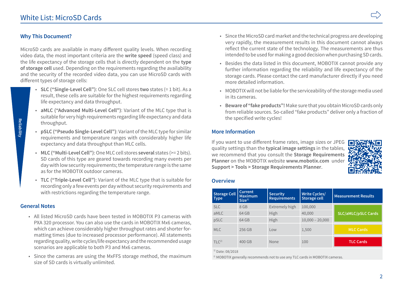# **Why This Document?**

MicroSD cards are available in many different quality levels. When recording video data, the most important criteria are the **write speed** (speed class) and the life expectancy of the storage cells that is directly dependent on the **type of storage cell** used. Depending on the requirements regarding the availability and the security of the recorded video data, you can use MicroSD cards with different types of storage cells:

- **SLC ("Single-Level Cell")**: One SLC cell stores **two** states (= 1 bit). As a result, these cells are suitable for the highest requirements regarding life expectancy and data throughput.
- **aMLC ("Advanced Multi-Level Cell")**: Variant of the MLC type that is suitable for very high requirements regarding life expectancy and data throughput.
- **pSLC ("Pseudo Single-Level Cell")**: Variant of the MLC type for similar requirements and temperature ranges with considerably higher life expectancy and data throughput than MLC cells.
- **MLC ("Multi-Level Cell")**: One MLC cell stores **several** states (>= 2 bits). SD cards of this type are geared towards recording many events per day with low security requirements; the temperature range is the same as for the MOBOTIX outdoor cameras.
- **TLC ("Triple-Level Cell")**: Variant of the MLC type that is suitable for recording only a few events per day without security requirements and with restrictions regarding the temperature range.

# **General Notes**

- All listed MicroSD cards have been tested in MOBOTIX P3 cameras with PXA 320 processor. You can also use the cards in MOBOTIX Mx6 cameras, which can achieve considerably higher throughput rates and shorter formatting times (due to increased processor performance). All statements regarding quality, write cycles/life expectancy and the recommended usage scenarios are applicable to both P3 and Mx6 cameras.
- Since the cameras are using the MxFFS storage method, the maximum size of SD cards is virtually unlimited.
- Since the MicroSD card market and the technical progress are developing very rapidly, the measurement results in this document cannot always reflect the current state of the technology. The measurements are thus intended to be used for making a good decision when purchasing SD cards.
- Besides the data listed in this document, MOBOTIX cannot provide any further information regarding the reliability and life expectancy of the storage cards. Please contact the card manufacturer directly if you need more detailed information.
- MOBOTIX will not be liable for the serviceability of the storage media used in its cameras.
- **Beware of "fake products"!** Make sure that you obtain MicroSD cards only from reliable sources. So-called "fake products" deliver only a fraction of the specified write cycles!

# **More Information**

If you want to use different frame rates, image sizes or JPEG quality settings than the **typical image settings** in the tables, we recommend that you consult the **Storage Requirements Planner** on the MOBOTIX website **www.mobotix.com** under **Support > Tools > Storage Requirements Planner**.



#### **Overview**

| <b>Storage Cell</b><br><b>Type</b> | Current<br><b>Maximum</b><br>Size <sup>1</sup> | <b>Security</b><br><b>Requirements</b> | <b>Write Cycles/</b><br>Storage cell | <b>Measurement Results</b> |
|------------------------------------|------------------------------------------------|----------------------------------------|--------------------------------------|----------------------------|
| <b>SLC</b>                         | 8 GB                                           | Extremely high                         | 100,000                              |                            |
| aMLC                               | 64 GB                                          | High                                   | 40,000                               | <b>SLC/aMLC/pSLC Cards</b> |
| pSLC                               | 64 GB                                          | High                                   | $10,000 - 20,000$                    |                            |
| <b>MLC</b>                         | 256 GB                                         | Low                                    | 1,500                                | <b>MLC Cards</b>           |
| TLC <sup>2</sup>                   | 400 GB                                         | None                                   | 100                                  | <b>TLC Cards</b>           |

 $1)$  Date: 08/2018

<sup>2)</sup> MOBOTIX generally recommends not to use any TLC cards in MOBOTIX cameras.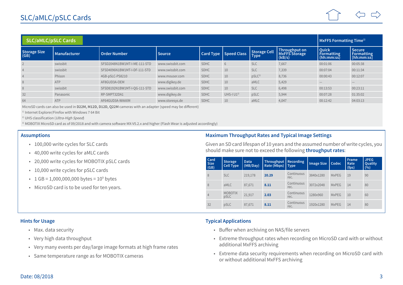| <b>SLC/aMLC/pSLC Cards</b> |              |                              |                  |             |                         |                      |                                                 |                                                 | MxFFS Formatting Time <sup>1)</sup>              |  |
|----------------------------|--------------|------------------------------|------------------|-------------|-------------------------|----------------------|-------------------------------------------------|-------------------------------------------------|--------------------------------------------------|--|
| Storage Size<br>(GB)       | Manufacturer | Order Number                 | <b>Source</b>    |             | Card Type   Speed Class | Storage Cell<br>Type | Throughput on<br><b>MxFFS Storage</b><br>(kB/s) | <b>Ouick</b><br><b>Formatting</b><br>(hh:mm:ss) | <b>Secure</b><br><b>Formatting</b><br>[hh:mm:ss] |  |
|                            | swissbit     | SFSD2048N1BW1MT-I-ME-111-STD | www.swissbit.com | <b>SDHC</b> | 6                       | <b>SLC</b>           | 7,667                                           | 00:01:06                                        | 00:05:38                                         |  |
| $\overline{4}$             | swissbit     | SFSD4096N1BW1MT-I-DF-111-STD | www.swissbit.com | <b>SDHC</b> | 10                      | <b>SLC</b>           | 7,339                                           | 00:07:04                                        | 00:11:34                                         |  |
|                            | Phison       | 4GB-pSLC-PS8210              | www.mouser.com   | SDHC        | 10                      | pSLC <sup>3</sup>    | 8,736                                           | 00:00:43                                        | 00:12:07                                         |  |
| 8                          | ATP          | AF8GUD3A-OEM                 | www.digikey.de   | <b>SDHC</b> | 10                      | aMLC                 | 5,429                                           |                                                 |                                                  |  |
| 8                          | swissbit     | SFSD8192N1BW1MT-I-OG-111-STD | www.swissbit.com | <b>SDHC</b> | 10                      | <b>SLC</b>           | 6,498                                           | 00:13:53                                        | 00:23:11                                         |  |
| 32                         | Panasonic    | RP-SMPT32DA1                 | www.digikey.de   | <b>SDHC</b> | UHS-I $U1^{2}$          | pSLC                 | 5,944                                           | 00:07:28                                        | 01:35:02                                         |  |
| 64                         | ATP          | AF64GUD3A-WAAXM              | www.storesys.de  | <b>SDHC</b> | 10                      | aMLC                 | 4,047                                           | 00:12:42                                        | 04:03:13                                         |  |

MicroSD cards can also be used in **D22M, M12D, D12D, Q22M** cameras with an adapter (speed may be different)

<sup>1)</sup> Internet Explorer/Firefox with Windows 7 64 Bit

<sup>2)</sup> UHS classification (Ultra-High Speed)

<sup>3)</sup> MOBOTIX MicroSD card as of 09/2018 and with camera software MX-V5.2.x and higher (Flash Wear is adjusted accordingly)

#### **Assumptions**

- 100,000 write cycles for SLC cards
- 40,000 write cycles for aMLC cards
- 20,000 write cycles for MOBOTIX pSLC cards
- 10,000 write cycles for pSLC cards
- $1$  GB = 1,000,000,000 bytes =  $10^9$  bytes
- MicroSD card is to be used for ten years.

## **Maximum Throughput Rates and Typical Image Settings**

Given an SD card lifespan of 10 years and the assumed number of write cycles, you should make sure not to exceed the following **throughput rates**:

| Card<br><b>Size</b><br>(GB) | <b>Storage</b><br><b>Cell Type</b> | Data<br>(MB/Day) | Throughput   Recording<br>Rate (Mbps)   Type |                    | <b>Image Size</b> | Codec        | <b>Frame</b><br>Rate<br>(fps) | <b>JPEG</b><br>Quality<br>(9/6) |
|-----------------------------|------------------------------------|------------------|----------------------------------------------|--------------------|-------------------|--------------|-------------------------------|---------------------------------|
| 8                           | <b>SLC</b>                         | 219,178          | 20.29                                        | Continuous<br>rec. | 3840x1280         | <b>MxPEG</b> | 19                            | 90                              |
| 8                           | aMLC                               | 87,671           | 8.11                                         | Continuous<br>rec. | 3072x2048         | <b>MxPEG</b> | 14                            | 80                              |
| $\overline{4}$              | <b>MOBOTIX</b><br>pSLC             | 21,917           | 2.03                                         | Continuous<br>rec. | 1280x960          | <b>MxPEG</b> | 10                            | 60                              |
| 32                          | pSLC                               | 87,671           | 8.11                                         | Continuous<br>rec. | 1920x1280         | <b>MxPEG</b> | 14                            | 80                              |

#### **Hints for Usage**

- Max. data security
- Very high data throughput
- Very many events per day/large image formats at high frame rates
- Same temperature range as for MOBOTIX cameras

#### **Typical Applications**

- Buffer when archiving on NAS/file servers
- Extreme throughput rates when recording on MicroSD card with or without additional MxFFS archiving
- Extreme data security requirements when recording on MicroSD card with or without additional MxFFS archiving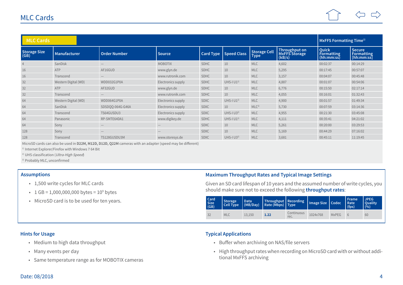

| <b>MLC Cards</b>     | <b>MxFFS Formatting Time</b> <sup>1)</sup> |                                 |                    |             |                       |                      |                                                 |                                          |                                                  |
|----------------------|--------------------------------------------|---------------------------------|--------------------|-------------|-----------------------|----------------------|-------------------------------------------------|------------------------------------------|--------------------------------------------------|
| Storage Size<br>(GB) | <b>Manufacturer</b>                        | Order Number                    | <b>Source</b>      |             | Card Type Speed Class | Storage Cell<br>Type | Throughput on<br><b>MxFFS Storage</b><br>(kB/s) | Quick<br><b>Formatting</b><br>(hh:mm:ss) | <b>Secure</b><br><b>Formatting</b><br>[hh:mm:ss] |
|                      | SanDisk                                    | $\hspace{0.1mm}-\hspace{0.1mm}$ | <b>MOBOTIX</b>     | SDHC        | 10                    | <b>MLC</b>           | 4,602                                           | 00:02:37                                 | 00:14:29                                         |
| 16                   | ATP                                        | AF16GUD                         | www.glyn.de        | SDHC        | 10                    | <b>MLC</b>           | 5,295                                           | 00:17:45                                 | 00:57:07                                         |
| 16                   | Transcend                                  |                                 | www.rutronik.com   | <b>SDHC</b> | 10                    | <b>MLC</b>           | 3,157                                           | 00:04:07                                 | 00:45:48                                         |
| 32                   | Western Digital (WD)                       | WDD032G1P0A                     | Electronics supply | SDHC        | UHS-I $U1^{2}$        | <b>MLC</b>           | 4,887                                           | 00:01:07                                 | 00:54:06                                         |
| 32                   | ATP                                        | AF32GUD                         | www.glyn.de        | <b>SDHC</b> | 10                    | <b>MLC</b>           | 6,776                                           | 00:15:50                                 | 02:17:14                                         |
| 32                   | Transcend                                  |                                 | www.rutronik.com   | SDHC        | 10                    | <b>MLC</b>           | 4,055                                           | 00:16:01                                 | 01:32:43                                         |
| 64                   | Western Digital (WD)                       | WDD064G1P0A                     | Electronics supply | <b>SDXC</b> | UHS-I $U1^{2}$        | <b>MLC</b>           | 4,900                                           | 00:01:57                                 | 01:49:34                                         |
| 64                   | SanDisk                                    | SDSDQQ-064G-G46A                | Electronics supply | <b>SDXC</b> | 10                    | MLC <sup>3</sup>     | 5,730                                           | 00:07:59                                 | 03:14:36                                         |
| 64                   | Transcend                                  | TS64GUSDU3                      | Electronics supply | <b>SDXC</b> | UHS-I $U3^{2}$        | <b>MLC</b>           | 4,955                                           | 00:21:30                                 | 03:45:08                                         |
| 64                   | Panasonic                                  | RP-SMTE64DA1                    | www.digikey.de     | SDHC        | UHS-I $U1^{2}$        | <b>MLC</b>           | 4,111                                           | 00:35:41                                 | 04:21:02                                         |
| 64                   | Sony                                       | $\hspace{0.1mm}-\hspace{0.1mm}$ |                    | <b>SDXC</b> | 10                    | <b>MLC</b>           | 5,261                                           | 00:20:00                                 | 03:29:53                                         |
| 128                  | Sony                                       |                                 |                    | <b>SDXC</b> | 10                    | <b>MLC</b>           | 5,169                                           | 00:44:29                                 | 07:16:02                                         |
| 128                  | Transcend                                  | TS128GUSDU3M                    | www.storesys.de    | <b>SDXC</b> | UHS-I $U3^{2}$        | <b>MLC</b>           | 3,681                                           | 00:45:11                                 | 11:19:45                                         |

MicroSD cards can also be used in **D22M, M12D, D12D, Q22M** cameras with an adapter (speed may be different)

<sup>1)</sup> Internet Explorer/Firefox with Windows 7 64 Bit

2) UHS classification (Ultra-High Speed)

<sup>3)</sup> Probably MLC, unconfirmed

#### **Assumptions**

- 1,500 write cycles for MLC cards
- 1 GB =  $1,000,000,000$  bytes =  $10^9$  bytes
- MicroSD card is to be used for ten years.

## **Maximum Throughput Rates and Typical Image Settings**

Given an SD card lifespan of 10 years and the assumed number of write cycles, you should make sure not to exceed the following **throughput rates**:

| Card<br><b>Size</b><br>(GB) | Storage<br>Cell Type | l Data<br>$\big $ (MB/Day) | Throughput Recording<br>Rate (Mbps)   Type |                    | Image Size   Codec |              | Frame<br>  Rate<br>(fps) | JPEG<br><b>Ouality</b><br>(0/0) |
|-----------------------------|----------------------|----------------------------|--------------------------------------------|--------------------|--------------------|--------------|--------------------------|---------------------------------|
| 32                          | <b>MLC</b>           | 13.150                     | 1.22                                       | Continuous<br>rec. | 1024x768           | <b>MxPEG</b> |                          | 60                              |

#### **Hints for Usage**

- Medium to high data throughput
- Many events per day
- Same temperature range as for MOBOTIX cameras

#### **Typical Applications**

- Buffer when archiving on NAS/file servers
- High throughput rates when recording on MicroSD card with or without additional MxFFS archiving

### Date: 08/2018 4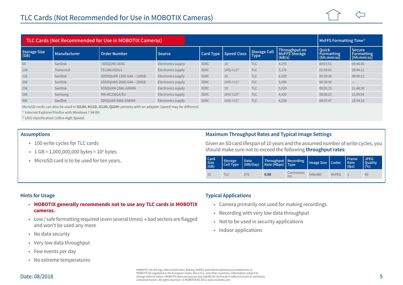|                      | TLC Cards (Not Recommended for Use in MOBOTIX Cameras) |                           |                    |             |                       |                      | MxFFS Formatting Time <sup>1)</sup>             |                                                 |                                                  |
|----------------------|--------------------------------------------------------|---------------------------|--------------------|-------------|-----------------------|----------------------|-------------------------------------------------|-------------------------------------------------|--------------------------------------------------|
| Storage Size<br>(GB) | <b>Manufacturer</b>                                    | <b>Order Number</b>       | <b>Source</b>      |             | Card Type Speed Class | Storage Cell<br>Type | Throughput on<br><b>MxFFS Storage</b><br>(kB/s) | <b>Ouick</b><br><b>Formatting</b><br>(hh:mm:ss) | <b>Secure</b><br><b>Formatting</b><br>[hh:mm:ss] |
| 64                   | SanDisk                                                | SDSOUNC-064G              | Electronics supply | <b>SDXC</b> | 10                    | <b>TLC</b>           | 4,195                                           | 00:01:51                                        | 04:46:30                                         |
| 128                  | Transcend                                              | TS128GUSDU1               | Electronics supply | <b>SDXC</b> | UHS- $ U1^{2}$        | <b>TLC</b>           | 5,376                                           | 01:58:03                                        | 08:04:12                                         |
| 128                  | SanDisk                                                | SDSDQUAN-128G-G4A - 128GB | Electronics supply | <b>SDXC</b> | 10                    | <b>TLC</b>           | 6,180                                           | 00:39:30                                        | 08:00:12                                         |
| 200                  | SanDisk                                                | SDSDQUAN-200G-G4A - 200GB | Electronics supply | <b>SDXC</b> | UHS-I $U1^{2}$        | <b>TLC</b>           | 5,096                                           | 00:39:30                                        |                                                  |
| 256                  | SanDisk                                                | SDSOUAM-256G-GN6MA        | Electronics supply | <b>SDXC</b> | 10                    | <b>TLC</b>           | 5,020                                           | 00:05:15                                        | 11:48:30                                         |
| 256                  | Samsung                                                | MB-MC256GA/EU             | Electronics supply | <b>SDXC</b> | UHS-I $U3^{2}$        | <b>TLC</b>           | 4,420                                           | 00:06:23                                        | 15:04:04                                         |
| 400                  | SanDisk                                                | SDSOUAR-400G-GN6MA        | Electronics supply | <b>SDXC</b> | UHS-I $U1^{2}$        | <b>TLC</b>           | 4,258                                           | 00:07:47                                        | 18:54:19                                         |

MicroSD cards can also be used in **D22M, M12D, D12D, Q22M** cameras with an adapter (speed may be different)

<sup>1)</sup> Internet Explorer/Firefox with Windows 7 64 Bit

<sup>2)</sup> UHS classification (Ultra-High Speed)

#### **Assumptions**

- 100 write cycles for TLC cards
- 1 GB =  $1,000,000,000$  bytes =  $10^9$  bytes
- MicroSD card is to be used for ten years.

### **Maximum Throughput Rates and Typical Image Settings**

Given an SD card lifespan of 10 years and the assumed number of write cycles, you should make sure not to exceed the following **throughput rates**:

| <b>Card</b><br><b>Size</b><br>(GB) | <b>Storage</b><br><b>Cell Type</b> | l Data<br>(MB/Day) | Throughput   Recording<br>Rate (Mbps) Type |                    | Image Size   Codec |              | Frame<br>  Rate<br>(fps) | <b>JPEG</b><br>Quality<br>(0/0) |
|------------------------------------|------------------------------------|--------------------|--------------------------------------------|--------------------|--------------------|--------------|--------------------------|---------------------------------|
| 32                                 | <b>TLC</b>                         | 876                | 0.08                                       | Continuous<br>rec. | 640x480            | <b>MxPEG</b> |                          | 60                              |

#### **Hints for Usage**

- **MOBOTIX generally recommends not to use any TLC cards in MOBOTIX cameras.**
- Low / safe formatting required (even several times) → bad sectors are flagged and won't be used any more
- No data security
- Very low data throughput
- Few events per day
- No extreme temperatures

#### **Typical Applications**

- Camera primarily not used for making recordings
- Recording with very low data throughput
- Not to be used in security applications
- Indoor applications